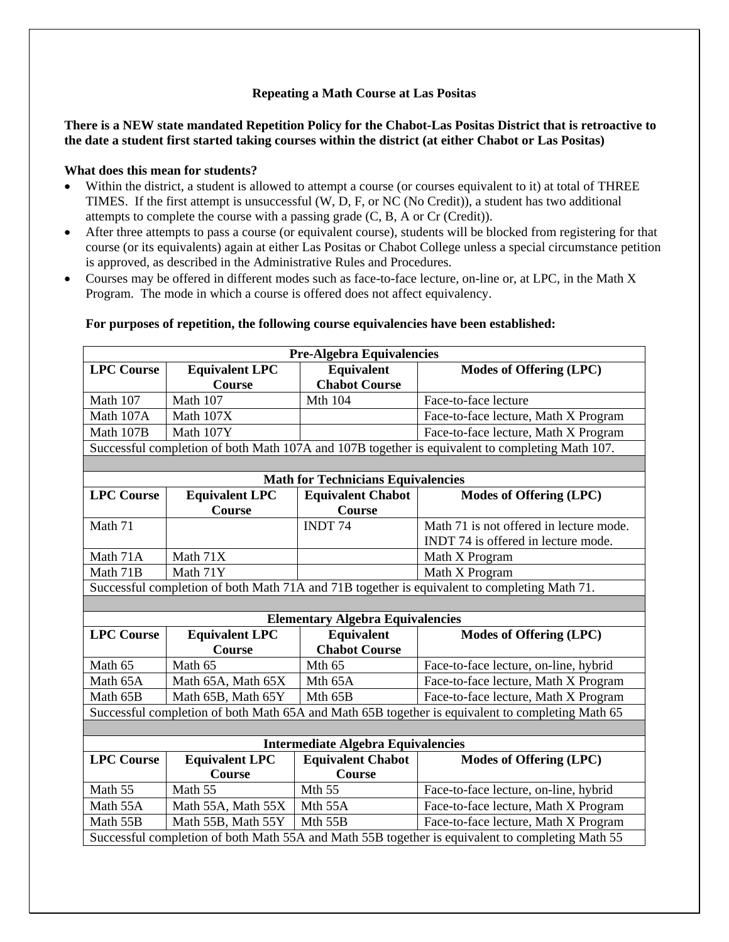## **Repeating a Math Course at Las Positas**

## **There is a NEW state mandated Repetition Policy for the Chabot-Las Positas District that is retroactive to the date a student first started taking courses within the district (at either Chabot or Las Positas)**

## **What does this mean for students?**

- Within the district, a student is allowed to attempt a course (or courses equivalent to it) at total of THREE TIMES. If the first attempt is unsuccessful (W, D, F, or NC (No Credit)), a student has two additional attempts to complete the course with a passing grade (C, B, A or Cr (Credit)).
- After three attempts to pass a course (or equivalent course), students will be blocked from registering for that course (or its equivalents) again at either Las Positas or Chabot College unless a special circumstance petition is approved, as described in the Administrative Rules and Procedures.
- Courses may be offered in different modes such as face-to-face lecture, on-line or, at LPC, in the Math X Program. The mode in which a course is offered does not affect equivalency.

| Pre-Algebra Equivalencies                                                                        |                       |                          |                                                                                              |  |
|--------------------------------------------------------------------------------------------------|-----------------------|--------------------------|----------------------------------------------------------------------------------------------|--|
| <b>LPC Course</b>                                                                                | <b>Equivalent LPC</b> | <b>Equivalent</b>        | <b>Modes of Offering (LPC)</b>                                                               |  |
|                                                                                                  | Course                | <b>Chabot Course</b>     |                                                                                              |  |
| Math 107                                                                                         | Math 107              | Mth 104                  | Face-to-face lecture                                                                         |  |
| Math 107A                                                                                        | Math 107X             |                          | Face-to-face lecture, Math X Program                                                         |  |
| Math 107B                                                                                        | Math 107Y             |                          | Face-to-face lecture, Math X Program                                                         |  |
| Successful completion of both Math 107A and 107B together is equivalent to completing Math 107.  |                       |                          |                                                                                              |  |
|                                                                                                  |                       |                          |                                                                                              |  |
| <b>Math for Technicians Equivalencies</b>                                                        |                       |                          |                                                                                              |  |
| <b>LPC Course</b>                                                                                | <b>Equivalent LPC</b> | <b>Equivalent Chabot</b> | <b>Modes of Offering (LPC)</b>                                                               |  |
|                                                                                                  | Course                | <b>Course</b>            |                                                                                              |  |
| Math 71                                                                                          |                       | <b>INDT74</b>            | Math 71 is not offered in lecture mode.                                                      |  |
|                                                                                                  |                       |                          | INDT 74 is offered in lecture mode.                                                          |  |
| Math 71A                                                                                         | Math 71X              |                          | Math X Program                                                                               |  |
| Math 71B                                                                                         | Math 71Y              |                          | Math X Program                                                                               |  |
|                                                                                                  |                       |                          | Successful completion of both Math 71A and 71B together is equivalent to completing Math 71. |  |
|                                                                                                  |                       |                          |                                                                                              |  |
| <b>Elementary Algebra Equivalencies</b>                                                          |                       |                          |                                                                                              |  |
| <b>LPC Course</b>                                                                                | <b>Equivalent LPC</b> | <b>Equivalent</b>        | <b>Modes of Offering (LPC)</b>                                                               |  |
|                                                                                                  | Course                | <b>Chabot Course</b>     |                                                                                              |  |
| Math 65                                                                                          | Math 65               | Mth 65                   | Face-to-face lecture, on-line, hybrid                                                        |  |
| Math 65A                                                                                         | Math 65A, Math 65X    | Mth 65A                  | Face-to-face lecture, Math X Program                                                         |  |
| Math 65B                                                                                         | Math 65B, Math 65Y    | Mth 65B                  | Face-to-face lecture, Math X Program                                                         |  |
| Successful completion of both Math 65A and Math 65B together is equivalent to completing Math 65 |                       |                          |                                                                                              |  |
|                                                                                                  |                       |                          |                                                                                              |  |
| <b>Intermediate Algebra Equivalencies</b>                                                        |                       |                          |                                                                                              |  |
| <b>LPC Course</b>                                                                                | <b>Equivalent LPC</b> | <b>Equivalent Chabot</b> | <b>Modes of Offering (LPC)</b>                                                               |  |
|                                                                                                  | Course                | Course                   |                                                                                              |  |
| Math 55                                                                                          | Math 55               | Mth 55                   | Face-to-face lecture, on-line, hybrid                                                        |  |
| Math 55A                                                                                         | Math 55A, Math 55X    | Mth 55A                  | Face-to-face lecture, Math X Program                                                         |  |
| Math 55B                                                                                         | Math 55B, Math 55Y    | Mth 55B                  | Face-to-face lecture, Math X Program                                                         |  |
| Successful completion of both Math 55A and Math 55B together is equivalent to completing Math 55 |                       |                          |                                                                                              |  |
|                                                                                                  |                       |                          |                                                                                              |  |

## **For purposes of repetition, the following course equivalencies have been established:**